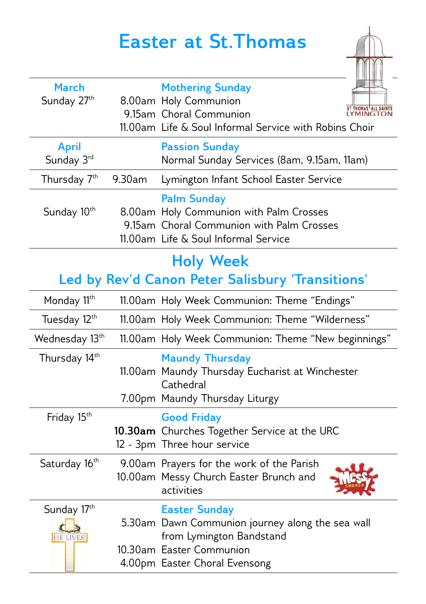## **Easter at St.Thomas**

| <b>March</b><br>Sunday 27 <sup>th</sup>          |        | <b>Mothering Sunday</b><br>8.00am Holy Communion<br><b>ST THOMAS<sup>T</sup>ALL SAINTS</b><br>9.15am Choral Communion<br>11.00am Life & Soul Informal Service with Robins Choir |
|--------------------------------------------------|--------|---------------------------------------------------------------------------------------------------------------------------------------------------------------------------------|
| <b>April</b><br>Sunday 3rd                       |        | <b>Passion Sunday</b><br>Normal Sunday Services (8am, 9.15am, 11am)                                                                                                             |
| Thursday 7 <sup>th</sup>                         | 9.30am | Lymington Infant School Easter Service                                                                                                                                          |
| Sunday 10 <sup>th</sup>                          |        | <b>Palm Sunday</b><br>8.00am Holy Communion with Palm Crosses<br>9.15am Choral Communion with Palm Crosses<br>11.00am Life & Soul Informal Service                              |
| <b>Holy Week</b>                                 |        |                                                                                                                                                                                 |
| Led by Rev'd Canon Peter Salisbury 'Transitions' |        |                                                                                                                                                                                 |
| Monday 11 <sup>th</sup>                          |        | 11.00am Holy Week Communion: Theme "Endings"                                                                                                                                    |
| Tuesday 12 <sup>th</sup>                         |        | 11.00am Holy Week Communion: Theme "Wilderness"                                                                                                                                 |
| Wednesday 13 <sup>th</sup>                       |        | 11.00am Holy Week Communion: Theme "New beginnings"                                                                                                                             |
| Thursday 14 <sup>th</sup>                        |        | <b>Maundy Thursday</b><br>11.00am Maundy Thursday Eucharist at Winchester<br>Cathedral<br>7.00pm Maundy Thursday Liturgy                                                        |
| Friday 15 <sup>th</sup>                          |        | <b>Good Friday</b>                                                                                                                                                              |
|                                                  |        | 10.30am Churches Together Service at the URC<br>12 - 3pm Three hour service                                                                                                     |
| Saturday 16 <sup>th</sup>                        |        | 9.00am Prayers for the work of the Parish<br>10.00am Messy Church Easter Brunch and<br>activities                                                                               |
| Sunday 17th<br>HE LIVES!                         |        | <b>Easter Sunday</b><br>5.30am Dawn Communion journey along the sea wall<br>from Lymington Bandstand<br>10.30am Easter Communion<br>4.00pm Easter Choral Evensong               |